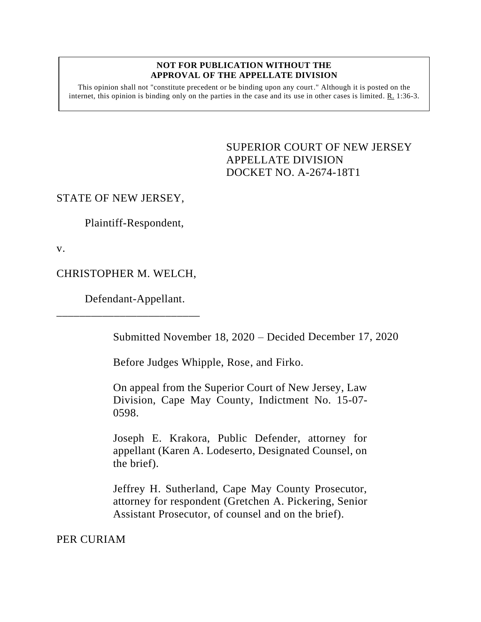## **NOT FOR PUBLICATION WITHOUT THE APPROVAL OF THE APPELLATE DIVISION**

This opinion shall not "constitute precedent or be binding upon any court." Although it is posted on the internet, this opinion is binding only on the parties in the case and its use in other cases is limited. R. 1:36-3.

> <span id="page-0-0"></span>SUPERIOR COURT OF NEW JERSEY APPELLATE DIVISION DOCKET NO. A-2674-18T1

## STATE OF NEW JERSEY,

Plaintiff-Respondent,

v.

## CHRISTOPHER M. WELCH,

\_\_\_\_\_\_\_\_\_\_\_\_\_\_\_\_\_\_\_\_\_\_\_\_\_

Defendant-Appellant.

Submitted November 18, 2020 – Decided December 17, 2020

Before Judges Whipple, Rose, and Firko.

On appeal from the Superior Court of New Jersey, Law Division, Cape May County, Indictment No. 15-07- 0598.

Joseph E. Krakora, Public Defender, attorney for appellant (Karen A. Lodeserto, Designated Counsel, on the brief).

Jeffrey H. Sutherland, Cape May County Prosecutor, attorney for respondent (Gretchen A. Pickering, Senior Assistant Prosecutor, of counsel and on the brief).

PER CURIAM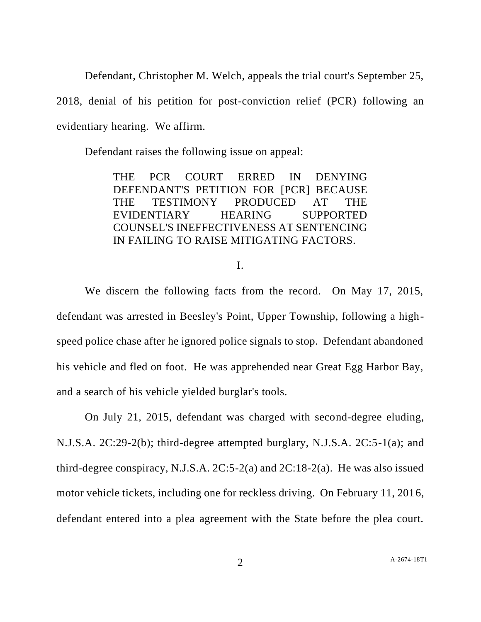Defendant, Christopher M. Welch, appeals the trial court's September 25,

2018, denial of his petition for post-conviction relief (PCR) following an evidentiary hearing. We affirm.

Defendant raises the following issue on appeal:

THE PCR COURT ERRED IN DENYING DEFENDANT'S PETITION FOR [PCR] BECAUSE THE TESTIMONY PRODUCED AT THE EVIDENTIARY HEARING SUPPORTED COUNSEL'S INEFFECTIVENESS AT SENTENCING IN FAILING TO RAISE MITIGATING FACTORS.

I.

We discern the following facts from the record. On May 17, 2015, defendant was arrested in Beesley's Point, Upper Township, following a highspeed police chase after he ignored police signals to stop. Defendant abandoned his vehicle and fled on foot. He was apprehended near Great Egg Harbor Bay, and a search of his vehicle yielded burglar's tools.

On July 21, 2015, defendant was charged with second-degree eluding, N.J.S.A. 2C:29-2(b); third-degree attempted burglary, N.J.S.A. 2C:5-1(a); and third-degree conspiracy, N.J.S.A.  $2C:5-2(a)$  and  $2C:18-2(a)$ . He was also issued motor vehicle tickets, including one for reckless driving. On February 11, 2016, defendant entered into a plea agreement with the State before the plea court.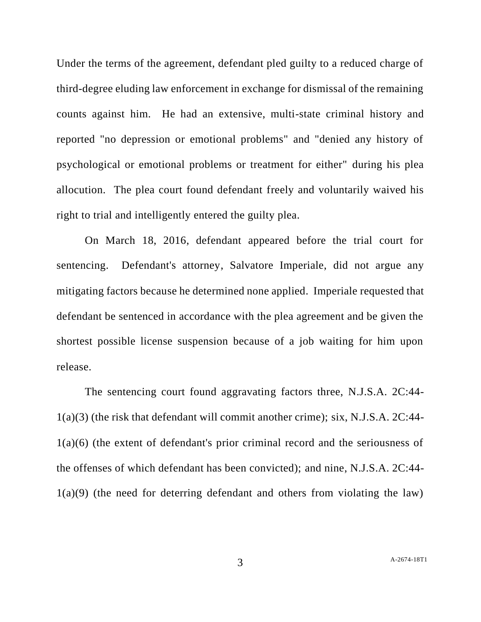Under the terms of the agreement, defendant pled guilty to a reduced charge of third-degree eluding law enforcement in exchange for dismissal of the remaining counts against him. He had an extensive, multi-state criminal history and reported "no depression or emotional problems" and "denied any history of psychological or emotional problems or treatment for either" during his plea allocution. The plea court found defendant freely and voluntarily waived his right to trial and intelligently entered the guilty plea.

On March 18, 2016, defendant appeared before the trial court for sentencing. Defendant's attorney, Salvatore Imperiale, did not argue any mitigating factors because he determined none applied. Imperiale requested that defendant be sentenced in accordance with the plea agreement and be given the shortest possible license suspension because of a job waiting for him upon release.

The sentencing court found aggravating factors three, N.J.S.A. 2C:44- 1(a)(3) (the risk that defendant will commit another crime); six, N.J.S.A. 2C:44- 1(a)(6) (the extent of defendant's prior criminal record and the seriousness of the offenses of which defendant has been convicted); and nine, N.J.S.A. 2C:44- 1(a)(9) (the need for deterring defendant and others from violating the law)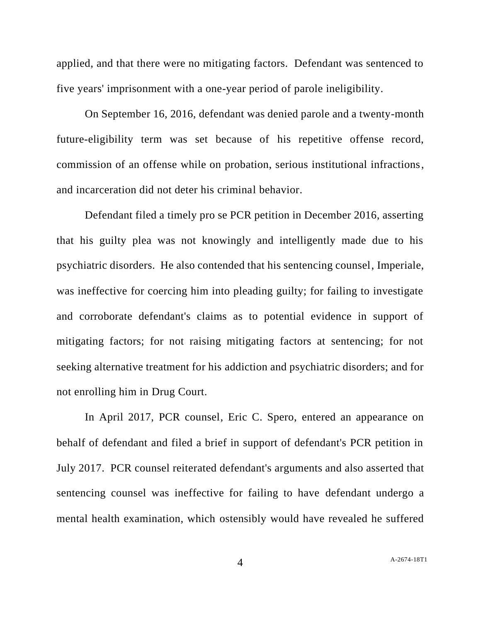applied, and that there were no mitigating factors. Defendant was sentenced to five years' imprisonment with a one-year period of parole ineligibility.

On September 16, 2016, defendant was denied parole and a twenty-month future-eligibility term was set because of his repetitive offense record, commission of an offense while on probation, serious institutional infractions, and incarceration did not deter his criminal behavior.

Defendant filed a timely pro se PCR petition in December 2016, asserting that his guilty plea was not knowingly and intelligently made due to his psychiatric disorders. He also contended that his sentencing counsel, Imperiale, was ineffective for coercing him into pleading guilty; for failing to investigate and corroborate defendant's claims as to potential evidence in support of mitigating factors; for not raising mitigating factors at sentencing; for not seeking alternative treatment for his addiction and psychiatric disorders; and for not enrolling him in Drug Court.

In April 2017, PCR counsel, Eric C. Spero, entered an appearance on behalf of defendant and filed a brief in support of defendant's PCR petition in July 2017. PCR counsel reiterated defendant's arguments and also asserted that sentencing counsel was ineffective for failing to have defendant undergo a mental health examination, which ostensibly would have revealed he suffered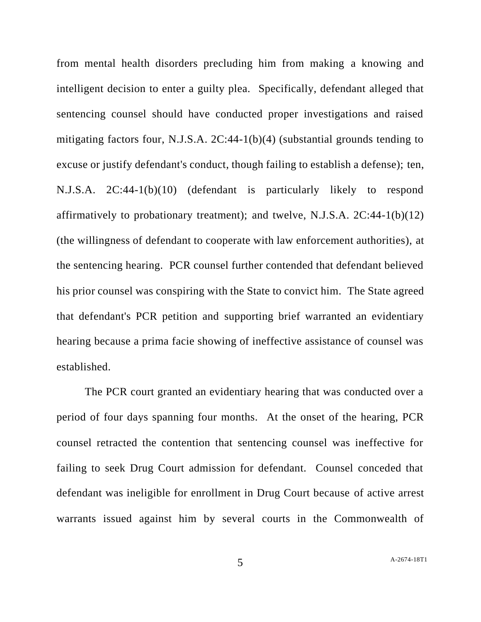from mental health disorders precluding him from making a knowing and intelligent decision to enter a guilty plea. Specifically, defendant alleged that sentencing counsel should have conducted proper investigations and raised mitigating factors four, N.J.S.A. 2C:44-1(b)(4) (substantial grounds tending to excuse or justify defendant's conduct, though failing to establish a defense); ten, N.J.S.A. 2C:44-1(b)(10) (defendant is particularly likely to respond affirmatively to probationary treatment); and twelve, N.J.S.A. 2C:44-1(b)(12) (the willingness of defendant to cooperate with law enforcement authorities), at the sentencing hearing. PCR counsel further contended that defendant believed his prior counsel was conspiring with the State to convict him. The State agreed that defendant's PCR petition and supporting brief warranted an evidentiary hearing because a prima facie showing of ineffective assistance of counsel was established.

The PCR court granted an evidentiary hearing that was conducted over a period of four days spanning four months. At the onset of the hearing, PCR counsel retracted the contention that sentencing counsel was ineffective for failing to seek Drug Court admission for defendant. Counsel conceded that defendant was ineligible for enrollment in Drug Court because of active arrest warrants issued against him by several courts in the Commonwealth of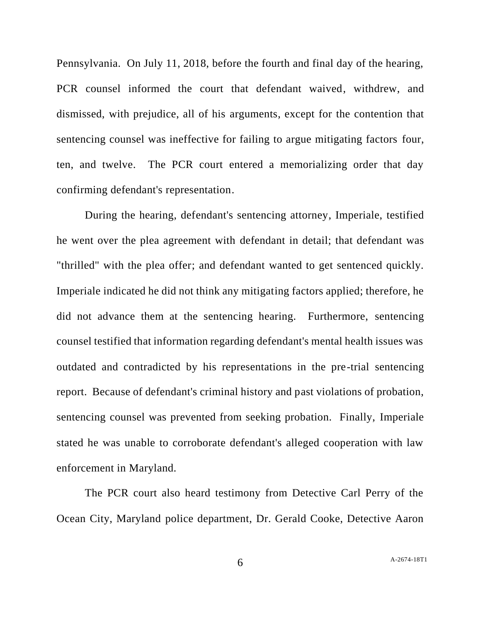Pennsylvania. On July 11, 2018, before the fourth and final day of the hearing, PCR counsel informed the court that defendant waived, withdrew, and dismissed, with prejudice, all of his arguments, except for the contention that sentencing counsel was ineffective for failing to argue mitigating factors four, ten, and twelve. The PCR court entered a memorializing order that day confirming defendant's representation.

During the hearing, defendant's sentencing attorney, Imperiale, testified he went over the plea agreement with defendant in detail; that defendant was "thrilled" with the plea offer; and defendant wanted to get sentenced quickly. Imperiale indicated he did not think any mitigating factors applied; therefore, he did not advance them at the sentencing hearing. Furthermore, sentencing counsel testified that information regarding defendant's mental health issues was outdated and contradicted by his representations in the pre-trial sentencing report. Because of defendant's criminal history and past violations of probation, sentencing counsel was prevented from seeking probation. Finally, Imperiale stated he was unable to corroborate defendant's alleged cooperation with law enforcement in Maryland.

The PCR court also heard testimony from Detective Carl Perry of the Ocean City, Maryland police department, Dr. Gerald Cooke, Detective Aaron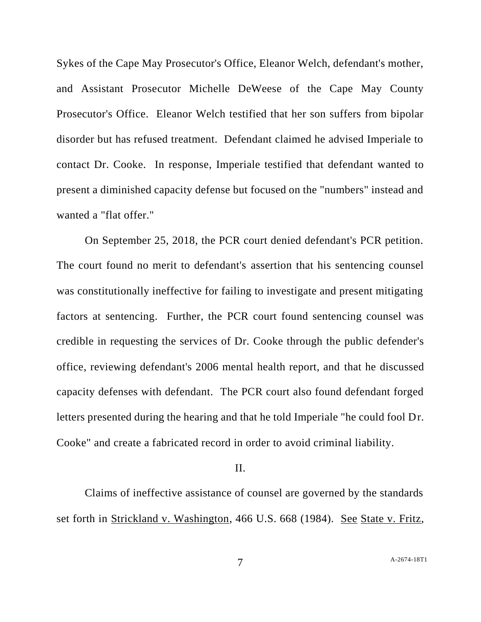Sykes of the Cape May Prosecutor's Office, Eleanor Welch, defendant's mother, and Assistant Prosecutor Michelle DeWeese of the Cape May County Prosecutor's Office. Eleanor Welch testified that her son suffers from bipolar disorder but has refused treatment. Defendant claimed he advised Imperiale to contact Dr. Cooke. In response, Imperiale testified that defendant wanted to present a diminished capacity defense but focused on the "numbers" instead and wanted a "flat offer."

On September 25, 2018, the PCR court denied defendant's PCR petition. The court found no merit to defendant's assertion that his sentencing counsel was constitutionally ineffective for failing to investigate and present mitigating factors at sentencing. Further, the PCR court found sentencing counsel was credible in requesting the services of Dr. Cooke through the public defender's office, reviewing defendant's 2006 mental health report, and that he discussed capacity defenses with defendant. The PCR court also found defendant forged letters presented during the hearing and that he told Imperiale "he could fool Dr. Cooke" and create a fabricated record in order to avoid criminal liability.

## II.

Claims of ineffective assistance of counsel are governed by the standards set forth in Strickland v. Washington, 466 U.S. 668 (1984). See State v. Fritz,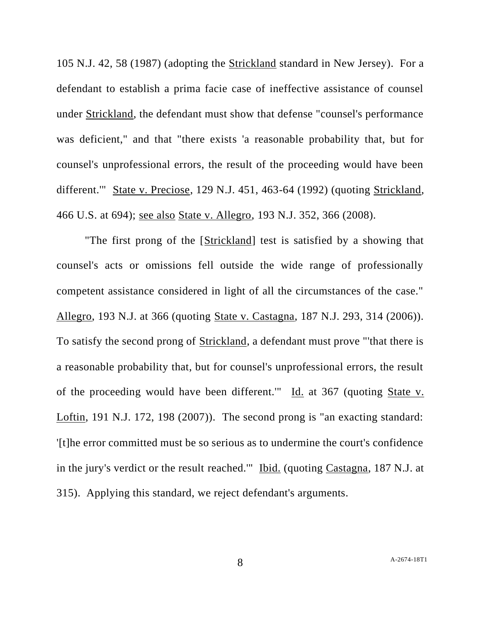105 N.J. 42, 58 (1987) (adopting the Strickland standard in New Jersey). For a defendant to establish a prima facie case of ineffective assistance of counsel under Strickland, the defendant must show that defense "counsel's performance was deficient," and that "there exists 'a reasonable probability that, but for counsel's unprofessional errors, the result of the proceeding would have been different.'" State v. Preciose, 129 N.J. 451, 463-64 (1992) (quoting Strickland, 466 U.S. at 694); see also State v. Allegro, 193 N.J. 352, 366 (2008).

"The first prong of the [Strickland] test is satisfied by a showing that counsel's acts or omissions fell outside the wide range of professionally competent assistance considered in light of all the circumstances of the case." Allegro, 193 N.J. at 366 (quoting State v. Castagna, 187 N.J. 293, 314 (2006)). To satisfy the second prong of Strickland, a defendant must prove "'that there is a reasonable probability that, but for counsel's unprofessional errors, the result of the proceeding would have been different." Id. at 367 (quoting State v. Loftin, 191 N.J. 172, 198 (2007)). The second prong is "an exacting standard: '[t]he error committed must be so serious as to undermine the court's confidence in the jury's verdict or the result reached.'" Ibid. (quoting Castagna, 187 N.J. at 315). Applying this standard, we reject defendant's arguments.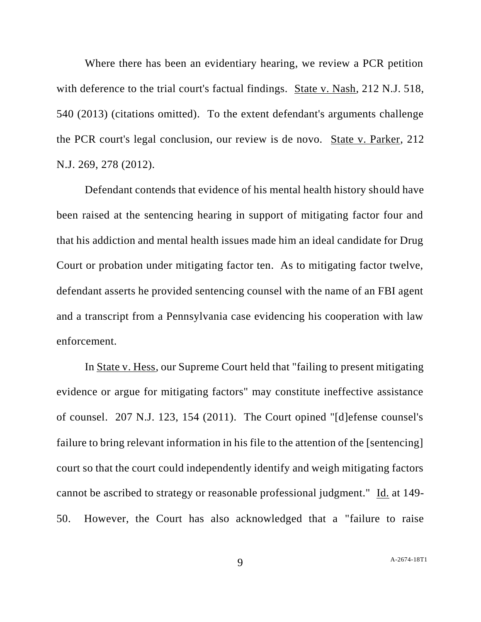Where there has been an evidentiary hearing, we review a PCR petition with deference to the trial court's factual findings. State v. Nash, 212 N.J. 518, 540 (2013) (citations omitted). To the extent defendant's arguments challenge the PCR court's legal conclusion, our review is de novo. State v. Parker, 212 N.J. 269, 278 (2012).

Defendant contends that evidence of his mental health history should have been raised at the sentencing hearing in support of mitigating factor four and that his addiction and mental health issues made him an ideal candidate for Drug Court or probation under mitigating factor ten. As to mitigating factor twelve, defendant asserts he provided sentencing counsel with the name of an FBI agent and a transcript from a Pennsylvania case evidencing his cooperation with law enforcement.

In State v. Hess, our Supreme Court held that "failing to present mitigating evidence or argue for mitigating factors" may constitute ineffective assistance of counsel. 207 N.J. 123, 154 (2011). The Court opined "[d]efense counsel's failure to bring relevant information in his file to the attention of the [sentencing] court so that the court could independently identify and weigh mitigating factors cannot be ascribed to strategy or reasonable professional judgment." Id. at 149- 50. However, the Court has also acknowledged that a "failure to raise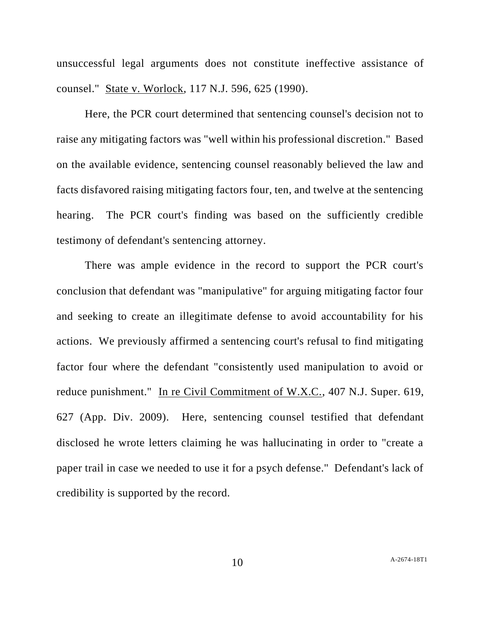unsuccessful legal arguments does not constitute ineffective assistance of counsel." State v. Worlock, 117 N.J. 596, 625 (1990).

Here, the PCR court determined that sentencing counsel's decision not to raise any mitigating factors was "well within his professional discretion." Based on the available evidence, sentencing counsel reasonably believed the law and facts disfavored raising mitigating factors four, ten, and twelve at the sentencing hearing. The PCR court's finding was based on the sufficiently credible testimony of defendant's sentencing attorney.

There was ample evidence in the record to support the PCR court's conclusion that defendant was "manipulative" for arguing mitigating factor four and seeking to create an illegitimate defense to avoid accountability for his actions. We previously affirmed a sentencing court's refusal to find mitigating factor four where the defendant "consistently used manipulation to avoid or reduce punishment." In re Civil Commitment of W.X.C., 407 N.J. Super. 619, 627 (App. Div. 2009). Here, sentencing counsel testified that defendant disclosed he wrote letters claiming he was hallucinating in order to "create a paper trail in case we needed to use it for a psych defense." Defendant's lack of credibility is supported by the record.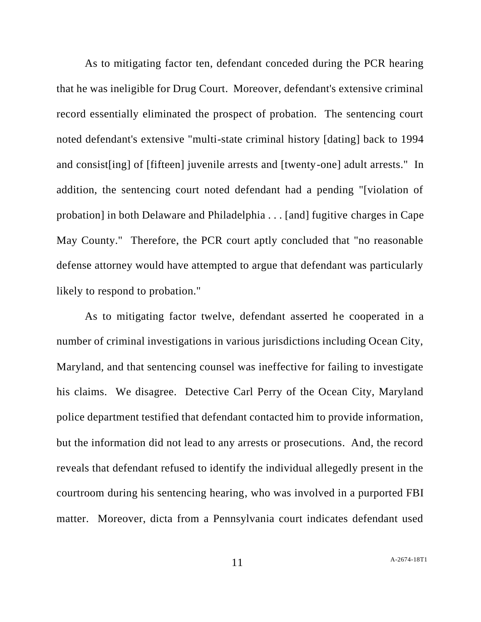As to mitigating factor ten, defendant conceded during the PCR hearing that he was ineligible for Drug Court. Moreover, defendant's extensive criminal record essentially eliminated the prospect of probation. The sentencing court noted defendant's extensive "multi-state criminal history [dating] back to 1994 and consist[ing] of [fifteen] juvenile arrests and [twenty-one] adult arrests." In addition, the sentencing court noted defendant had a pending "[violation of probation] in both Delaware and Philadelphia . . . [and] fugitive charges in Cape May County." Therefore, the PCR court aptly concluded that "no reasonable defense attorney would have attempted to argue that defendant was particularly likely to respond to probation."

As to mitigating factor twelve, defendant asserted he cooperated in a number of criminal investigations in various jurisdictions including Ocean City, Maryland, and that sentencing counsel was ineffective for failing to investigate his claims. We disagree. Detective Carl Perry of the Ocean City, Maryland police department testified that defendant contacted him to provide information, but the information did not lead to any arrests or prosecutions. And, the record reveals that defendant refused to identify the individual allegedly present in the courtroom during his sentencing hearing, who was involved in a purported FBI matter. Moreover, dicta from a Pennsylvania court indicates defendant used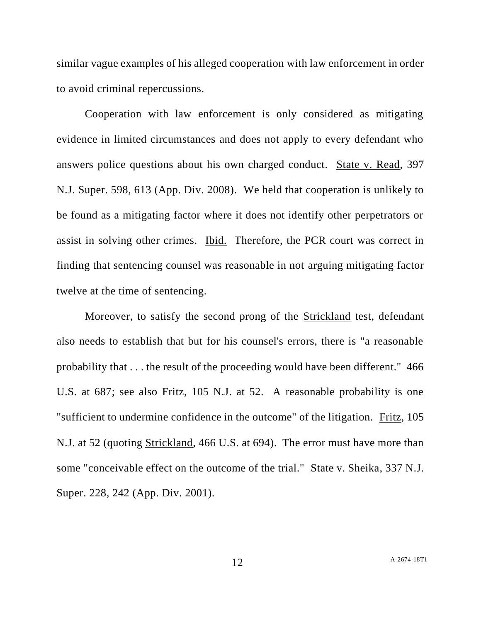similar vague examples of his alleged cooperation with law enforcement in order to avoid criminal repercussions.

Cooperation with law enforcement is only considered as mitigating evidence in limited circumstances and does not apply to every defendant who answers police questions about his own charged conduct. State v. Read, 397 N.J. Super. 598, 613 (App. Div. 2008). We held that cooperation is unlikely to be found as a mitigating factor where it does not identify other perpetrators or assist in solving other crimes. Ibid. Therefore, the PCR court was correct in finding that sentencing counsel was reasonable in not arguing mitigating factor twelve at the time of sentencing.

Moreover, to satisfy the second prong of the Strickland test, defendant also needs to establish that but for his counsel's errors, there is "a reasonable probability that . . . the result of the proceeding would have been different." 466 U.S. at 687; see also Fritz, 105 N.J. at 52. A reasonable probability is one "sufficient to undermine confidence in the outcome" of the litigation. Fritz, 105 N.J. at 52 (quoting Strickland, 466 U.S. at 694). The error must have more than some "conceivable effect on the outcome of the trial." State v. Sheika, 337 N.J. Super. 228, 242 (App. Div. 2001).